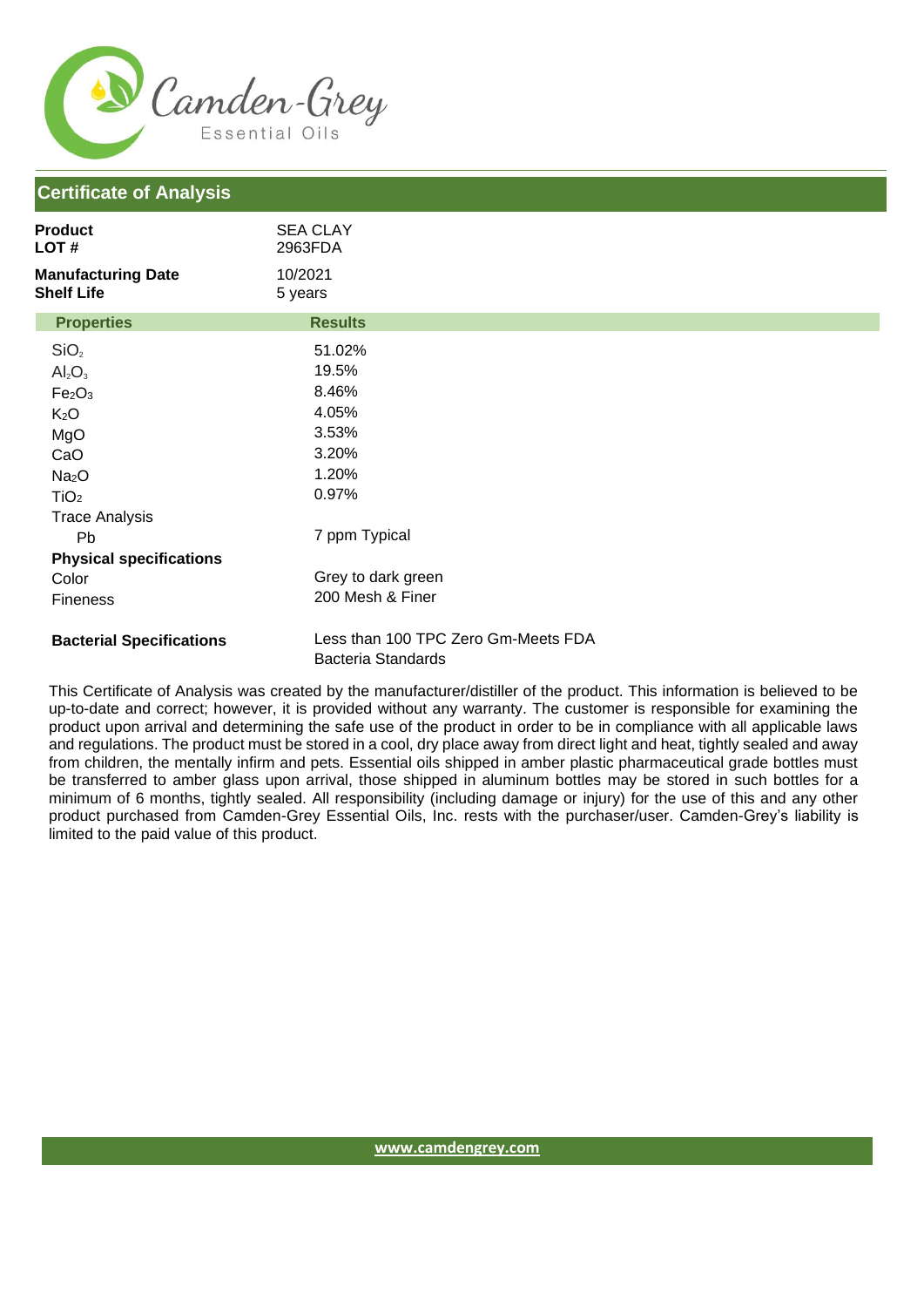

## **Certificate of Analysis**

| Product<br>LOT #                               | <b>SEA CLAY</b><br>2963FDA          |  |
|------------------------------------------------|-------------------------------------|--|
| <b>Manufacturing Date</b><br><b>Shelf Life</b> | 10/2021<br>5 years                  |  |
| <b>Properties</b>                              | <b>Results</b>                      |  |
| SiO <sub>2</sub>                               | 51.02%                              |  |
| $Al_2O_3$                                      | 19.5%                               |  |
| Fe <sub>2</sub> O <sub>3</sub>                 | 8.46%                               |  |
| K <sub>2</sub> O                               | 4.05%                               |  |
| MgO                                            | 3.53%                               |  |
| CaO                                            | 3.20%                               |  |
| Na <sub>2</sub> O                              | 1.20%                               |  |
| TiO <sub>2</sub>                               | 0.97%                               |  |
| <b>Trace Analysis</b>                          |                                     |  |
| Pb                                             | 7 ppm Typical                       |  |
| <b>Physical specifications</b>                 |                                     |  |
| Color                                          | Grey to dark green                  |  |
| <b>Fineness</b>                                | 200 Mesh & Finer                    |  |
| <b>Bacterial Specifications</b>                | Less than 100 TPC Zero Gm-Meets FDA |  |

Bacteria Standards

This Certificate of Analysis was created by the manufacturer/distiller of the product. This information is believed to be up-to-date and correct; however, it is provided without any warranty. The customer is responsible for examining the product upon arrival and determining the safe use of the product in order to be in compliance with all applicable laws and regulations. The product must be stored in a cool, dry place away from direct light and heat, tightly sealed and away from children, the mentally infirm and pets. Essential oils shipped in amber plastic pharmaceutical grade bottles must be transferred to amber glass upon arrival, those shipped in aluminum bottles may be stored in such bottles for a minimum of 6 months, tightly sealed. All responsibility (including damage or injury) for the use of this and any other product purchased from Camden-Grey Essential Oils, Inc. rests with the purchaser/user. Camden-Grey's liability is limited to the paid value of this product.